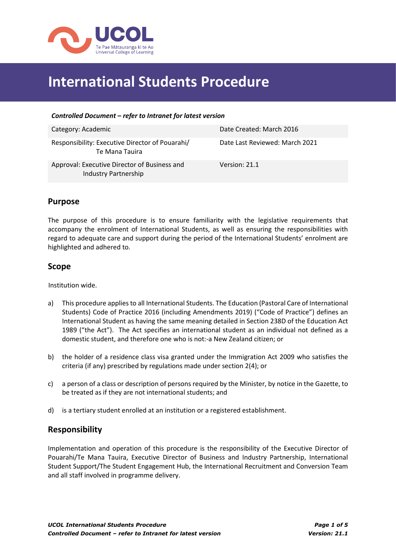

# **International Students Procedure**

| Category: Academic                                                   | Date Created: March 2016       |
|----------------------------------------------------------------------|--------------------------------|
| Responsibility: Executive Director of Pouarahi/<br>Te Mana Tauira    | Date Last Reviewed: March 2021 |
| Approval: Executive Director of Business and<br>Industry Partnership | Version: 21.1                  |

## **Purpose**

The purpose of this procedure is to ensure familiarity with the legislative requirements that accompany the enrolment of International Students, as well as ensuring the responsibilities with regard to adequate care and support during the period of the International Students' enrolment are highlighted and adhered to.

### **Scope**

Institution wide.

- a) This procedure applies to all International Students. The Education (Pastoral Care of International Students) Code of Practice 2016 (including Amendments 2019) ("Code of Practice") defines an International Student as having the same meaning detailed in Section 238D of the Education Act 1989 ("the Act"). The Act specifies an international student as an individual not defined as a domestic student, and therefore one who is not:-a New Zealand citizen; or
- b) the holder of a residence class visa granted under the Immigration Act 2009 who satisfies the criteria (if any) prescribed by regulations made under section 2(4); or
- c) a person of a class or description of persons required by the Minister, by notice in the Gazette, to be treated as if they are not international students; and
- d) is a tertiary student enrolled at an institution or a registered establishment.

## **Responsibility**

Implementation and operation of this procedure is the responsibility of the Executive Director of Pouarahi/Te Mana Tauira, Executive Director of Business and Industry Partnership, International Student Support/The Student Engagement Hub, the International Recruitment and Conversion Team and all staff involved in programme delivery.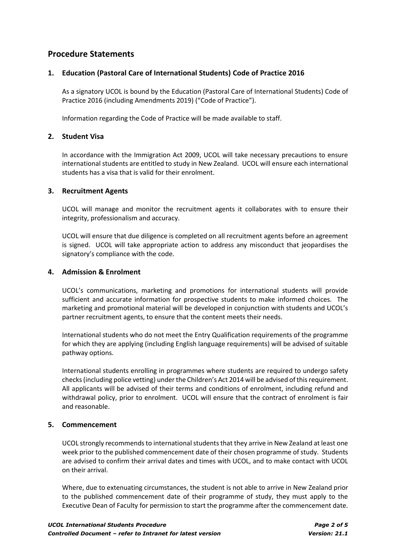# **Procedure Statements**

#### **1. Education (Pastoral Care of International Students) Code of Practice 2016**

As a signatory UCOL is bound by the Education (Pastoral Care of International Students) Code of Practice 2016 (including Amendments 2019) ("Code of Practice").

Information regarding the Code of Practice will be made available to staff.

#### **2. Student Visa**

In accordance with the Immigration Act 2009, UCOL will take necessary precautions to ensure international students are entitled to study in New Zealand. UCOL will ensure each international students has a visa that is valid for their enrolment.

#### **3. Recruitment Agents**

UCOL will manage and monitor the recruitment agents it collaborates with to ensure their integrity, professionalism and accuracy.

UCOL will ensure that due diligence is completed on all recruitment agents before an agreement is signed. UCOL will take appropriate action to address any misconduct that jeopardises the signatory's compliance with the code.

#### **4. Admission & Enrolment**

UCOL's communications, marketing and promotions for international students will provide sufficient and accurate information for prospective students to make informed choices. The marketing and promotional material will be developed in conjunction with students and UCOL's partner recruitment agents, to ensure that the content meets their needs.

International students who do not meet the Entry Qualification requirements of the programme for which they are applying (including English language requirements) will be advised of suitable pathway options.

International students enrolling in programmes where students are required to undergo safety checks (including police vetting) under the Children's Act 2014 will be advised of this requirement. All applicants will be advised of their terms and conditions of enrolment, including refund and withdrawal policy, prior to enrolment. UCOL will ensure that the contract of enrolment is fair and reasonable.

#### **5. Commencement**

UCOL strongly recommends to international students that they arrive in New Zealand at least one week prior to the published commencement date of their chosen programme of study. Students are advised to confirm their arrival dates and times with UCOL, and to make contact with UCOL on their arrival.

Where, due to extenuating circumstances, the student is not able to arrive in New Zealand prior to the published commencement date of their programme of study, they must apply to the Executive Dean of Faculty for permission to start the programme after the commencement date.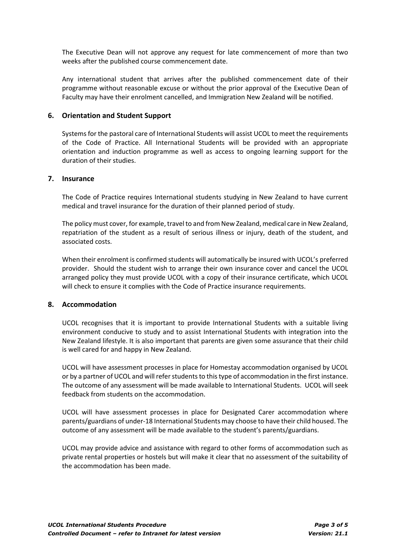The Executive Dean will not approve any request for late commencement of more than two weeks after the published course commencement date.

Any international student that arrives after the published commencement date of their programme without reasonable excuse or without the prior approval of the Executive Dean of Faculty may have their enrolment cancelled, and Immigration New Zealand will be notified.

#### **6. Orientation and Student Support**

Systems for the pastoral care of International Students will assist UCOL to meet the requirements of the Code of Practice. All International Students will be provided with an appropriate orientation and induction programme as well as access to ongoing learning support for the duration of their studies.

#### **7. Insurance**

The Code of Practice requires International students studying in New Zealand to have current medical and travel insurance for the duration of their planned period of study.

The policy must cover, for example, travel to and from New Zealand, medical care in New Zealand, repatriation of the student as a result of serious illness or injury, death of the student, and associated costs.

When their enrolment is confirmed students will automatically be insured with UCOL's preferred provider. Should the student wish to arrange their own insurance cover and cancel the UCOL arranged policy they must provide UCOL with a copy of their insurance certificate, which UCOL will check to ensure it complies with the Code of Practice insurance requirements.

#### **8. Accommodation**

UCOL recognises that it is important to provide International Students with a suitable living environment conducive to study and to assist International Students with integration into the New Zealand lifestyle. It is also important that parents are given some assurance that their child is well cared for and happy in New Zealand.

UCOL will have assessment processes in place for Homestay accommodation organised by UCOL or by a partner of UCOL and will refer students to this type of accommodation in the first instance. The outcome of any assessment will be made available to International Students. UCOL will seek feedback from students on the accommodation.

UCOL will have assessment processes in place for Designated Carer accommodation where parents/guardians of under-18 International Students may choose to have their child housed. The outcome of any assessment will be made available to the student's parents/guardians.

UCOL may provide advice and assistance with regard to other forms of accommodation such as private rental properties or hostels but will make it clear that no assessment of the suitability of the accommodation has been made.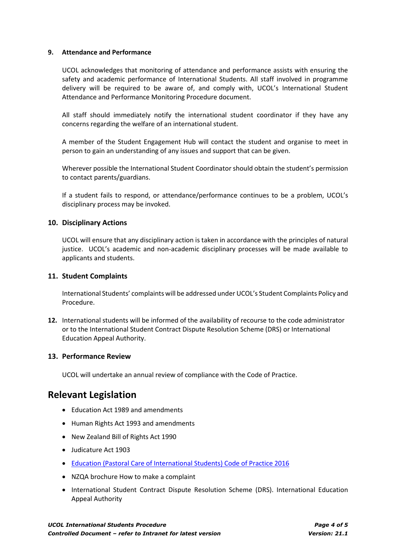#### **9. Attendance and Performance**

UCOL acknowledges that monitoring of attendance and performance assists with ensuring the safety and academic performance of International Students. All staff involved in programme delivery will be required to be aware of, and comply with, UCOL's International Student Attendance and Performance Monitoring Procedure document.

All staff should immediately notify the international student coordinator if they have any concerns regarding the welfare of an international student.

A member of the Student Engagement Hub will contact the student and organise to meet in person to gain an understanding of any issues and support that can be given.

Wherever possible the International Student Coordinator should obtain the student's permission to contact parents/guardians.

If a student fails to respond, or attendance/performance continues to be a problem, UCOL's disciplinary process may be invoked.

#### **10. Disciplinary Actions**

UCOL will ensure that any disciplinary action is taken in accordance with the principles of natural justice. UCOL's academic and non-academic disciplinary processes will be made available to applicants and students.

#### **11. Student Complaints**

International Students' complaints will be addressed under UCOL's Student Complaints Policy and Procedure.

**12.** International students will be informed of the availability of recourse to the code administrator or to the International Student Contract Dispute Resolution Scheme (DRS) or International Education Appeal Authority.

#### **13. Performance Review**

UCOL will undertake an annual review of compliance with the Code of Practice.

## **Relevant Legislation**

- Education Act 1989 and amendments
- Human Rights Act 1993 and amendments
- New Zealand Bill of Rights Act 1990
- Judicature Act 1903
- [Education \(Pastoral Care of International Students\) Code of Practice 2016](http://clicks.aweber.com/y/ct/?l=4N1_16&m=3jRYANSpzsUrbDp&b=00nm8ErosqHcgbXeXmB6rQ)
- [NZQA brochure How to make a complaint](http://www.nzqa.govt.nz/assets/Providers-and-partners/Code-of-Practice/int-students-make-a-complaint.pdf)
- International Student Contract Dispute Resolution Scheme (DRS). International Education Appeal Authority